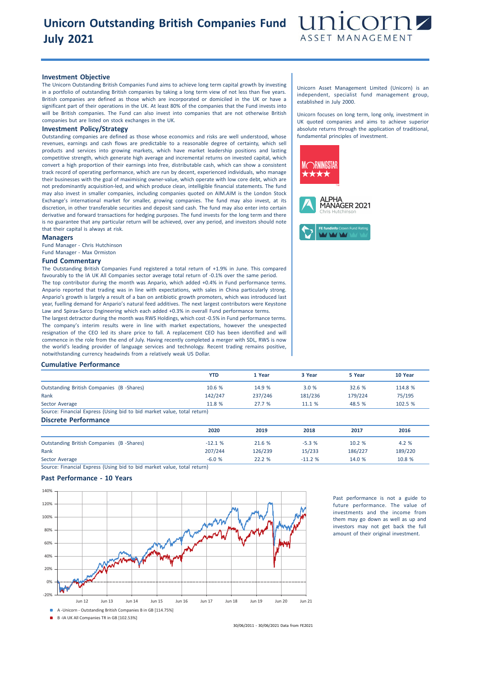# **Unicorn Outstanding British Companies Fund July 2021**



### **Investment Objective**

The Unicorn Outstanding British Companies Fund aims to achieve long term capital growth by investing in a portfolio of outstanding British companies by taking a long term view of not less than five years. British companies are defined as those which are incorporated or domiciled in the UK or have a significant part of their operations in the UK. At least 80% of the companies that the Fund invests into will be British companies. The Fund can also invest into companies that are not otherwise British companies but are listed on stock exchanges in the UK.

## **Investment Policy/Strategy**

Outstanding companies are defined as those whose economics and risks are well understood, whose revenues, earnings and cash flows are predictable to a reasonable degree of certainty, which sell products and services into growing markets, which have market leadership positions and lasting competitive strength, which generate high average and incremental returns on invested capital, which convert a high proportion of their earnings into free, distributable cash, which can show a consistent track record of operating performance, which are run by decent, experienced individuals, who manage their businesses with the goal of maximising owner-value, which operate with low core debt, which are not predominantly acquisition-led, and which produce clean, intelligible financial statements. The fund may also invest in smaller companies, including companies quoted on AIM.AIM is the London Stock Exchange's international market for smaller, growing companies. The fund may also invest, at its discretion, in other transferable securities and deposit sand cash. The fund may also enter into certain derivative and forward transactions for hedging purposes. The fund invests for the long term and there is no guarantee that any particular return will be achieved, over any period, and investors should note that their capital is always at risk.

#### **Managers**

Fund Manager - Chris Hutchinson Fund Manager - Max Ormiston

#### **Fund Commentary**

The Outstanding British Companies Fund registered a total return of +1.9% in June. This compared favourably to the IA UK All Companies sector average total return of -0.1% over the same period. The top contributor during the month was Anpario, which added +0.4% in Fund performance terms. Anpario reported that trading was in line with expectations, with sales in China particularly strong. Anpario's growth is largely a result of a ban on antibiotic growth promoters, which was introduced last year, fuelling demand for Anpario's natural feed additives. The next largest contributors were Keystone Law and Spirax-Sarco Engineering which each added +0.3% in overall Fund performance terms.

The largest detractor during the month was RWS Holdings, which cost -0.5% in Fund performance terms. The company's interim results were in line with market expectations, however the unexpected resignation of the CEO led its share price to fall. A replacement CEO has been identified and will commence in the role from the end of July. Having recently completed a merger with SDL, RWS is now the world's leading provider of language services and technology. Recent trading remains positive, notwithstanding currency headwinds from a relatively weak US Dollar.

Unicorn Asset Management Limited (Unicorn) is an independent, specialist fund management group, established in July 2000.

Unicorn focuses on long term, long only, investment in UK quoted companies and aims to achieve superior absolute returns through the application of traditional, fundamental principles of investment.



### **Cumulative Performance**

|                                                                         | YTD     | 1 Year  | 3 Year  | 5 Year  | 10 Year |
|-------------------------------------------------------------------------|---------|---------|---------|---------|---------|
| <b>Outstanding British Companies (B-Shares)</b>                         | 10.6 %  | 14.9 %  | 3.0%    | 32.6 %  | 114.8 % |
| Rank                                                                    | 142/247 | 237/246 | 181/236 | 179/224 | 75/195  |
| Sector Average                                                          | 11.8 %  | 27.7%   | 11.1 %  | 48.5 %  | 102.5 % |
| Source: Financial Express (Using bid to bid market value, total return) |         |         |         |         |         |

#### **Discrete Performance**

|                                          | 2020     | 2019    | 2018     | 2017    | 2016    |
|------------------------------------------|----------|---------|----------|---------|---------|
| Outstanding British Companies (B-Shares) | $-12.1%$ | 21.6 %  | $-5.3%$  | 10.2 %  | 4.2 %   |
| Rank                                     | 207/244  | 126/239 | 15/233   | 186/227 | 189/220 |
| Sector Average                           | $-6.0%$  | 22.2%   | $-11.2%$ | 14.0 %  | 10.8 %  |

Source: Financial Express (Using bid to bid market value, total return)

## **Past Performance - 10 Years**



Past performance is not a guide to future performance. The value of investments and the income from them may go down as well as up and investors may not get back the full amount of their original investment.

30/06/2011 - 30/06/2021 Data from FE2021